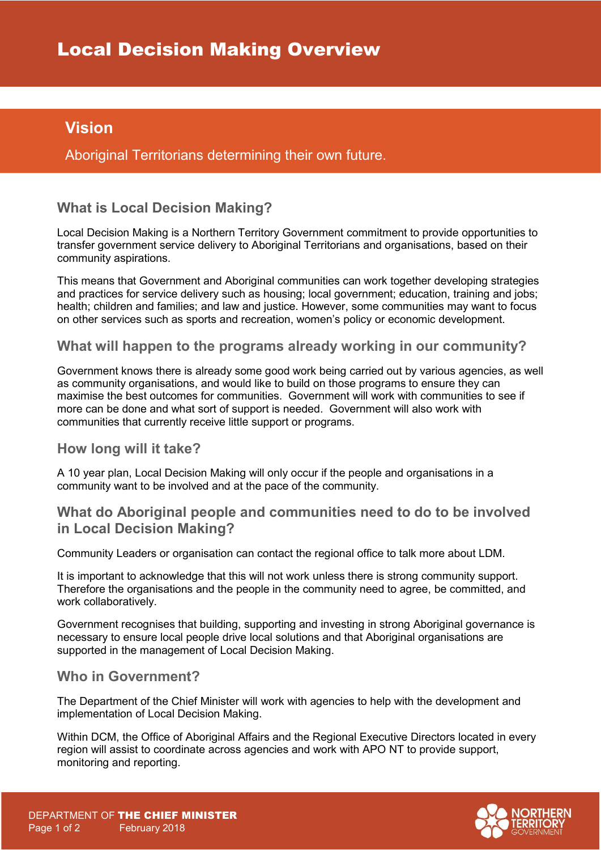# **Vision**

Aboriginal Territorians determining their own future.

# **What is Local Decision Making?**

Local Decision Making is a Northern Territory Government commitment to provide opportunities to transfer government service delivery to Aboriginal Territorians and organisations, based on their community aspirations.

This means that Government and Aboriginal communities can work together developing strategies and practices for service delivery such as housing; local government; education, training and jobs; health; children and families; and law and justice. However, some communities may want to focus on other services such as sports and recreation, women's policy or economic development.

### **What will happen to the programs already working in our community?**

Government knows there is already some good work being carried out by various agencies, as well as community organisations, and would like to build on those programs to ensure they can maximise the best outcomes for communities. Government will work with communities to see if more can be done and what sort of support is needed. Government will also work with communities that currently receive little support or programs.

#### **How long will it take?**

A 10 year plan, Local Decision Making will only occur if the people and organisations in a community want to be involved and at the pace of the community.

### **What do Aboriginal people and communities need to do to be involved in Local Decision Making?**

Community Leaders or organisation can contact the regional office to talk more about LDM.

It is important to acknowledge that this will not work unless there is strong community support. Therefore the organisations and the people in the community need to agree, be committed, and work collaboratively.

Government recognises that building, supporting and investing in strong Aboriginal governance is necessary to ensure local people drive local solutions and that Aboriginal organisations are supported in the management of Local Decision Making.

## **Who in Government?**

The Department of the Chief Minister will work with agencies to help with the development and implementation of Local Decision Making.

Within DCM, the Office of Aboriginal Affairs and the Regional Executive Directors located in every region will assist to coordinate across agencies and work with APO NT to provide support, monitoring and reporting.